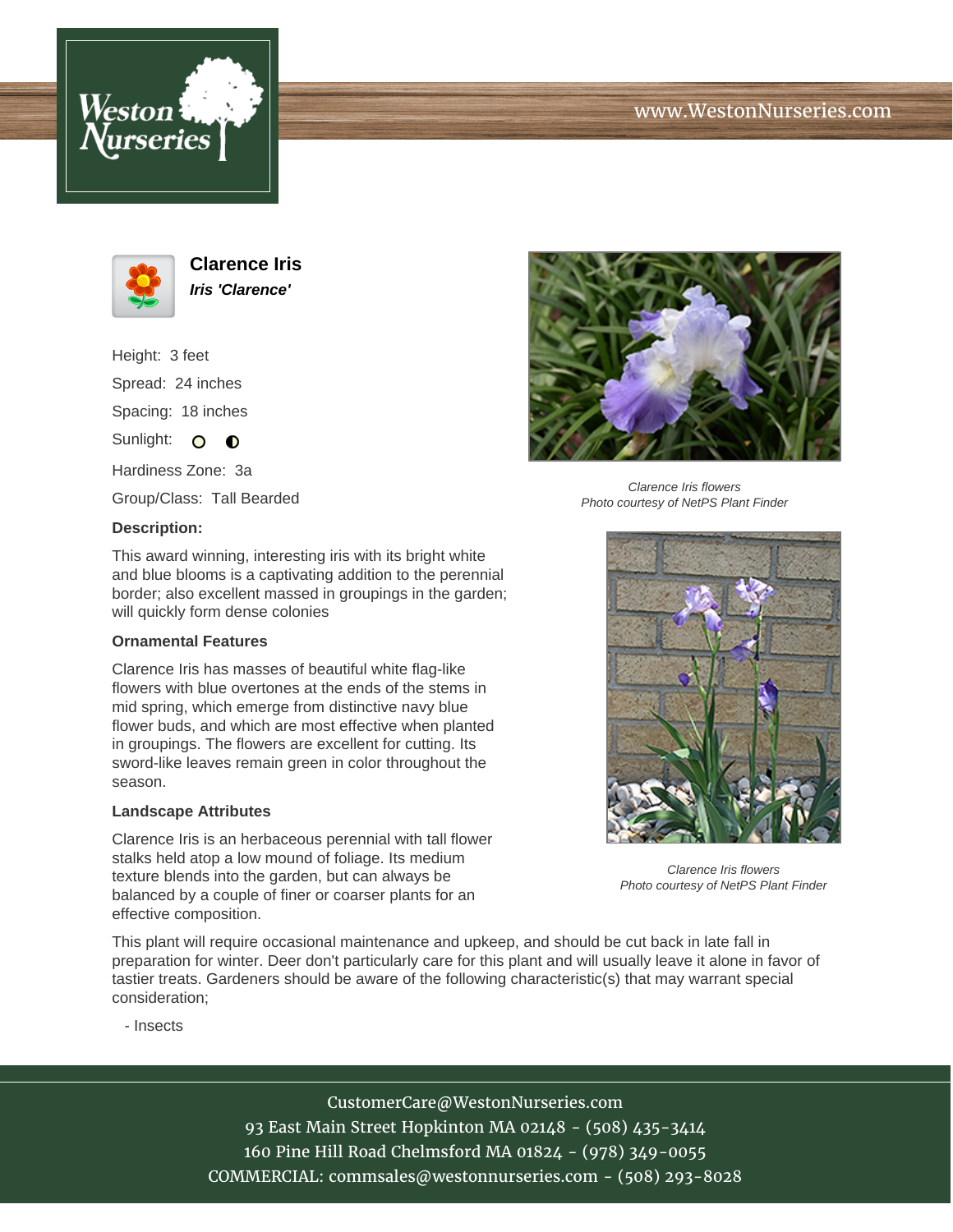



**Clarence Iris Iris 'Clarence'**

Height: 3 feet Spread: 24 inches Spacing: 18 inches

Sunlight:  $\circ$   $\bullet$ 

Hardiness Zone: 3a

Group/Class: Tall Bearded

## **Description:**



## **Ornamental Features**

Clarence Iris has masses of beautiful white flag-like flowers with blue overtones at the ends of the stems in mid spring, which emerge from distinctive navy blue flower buds, and which are most effective when planted in groupings. The flowers are excellent for cutting. Its sword-like leaves remain green in color throughout the season.

## **Landscape Attributes**

Clarence Iris is an herbaceous perennial with tall flower stalks held atop a low mound of foliage. Its medium texture blends into the garden, but can always be balanced by a couple of finer or coarser plants for an effective composition.

Clarence Iris flowers Photo courtesy of NetPS Plant Finder



Clarence Iris flowers Photo courtesy of NetPS Plant Finder

This plant will require occasional maintenance and upkeep, and should be cut back in late fall in preparation for winter. Deer don't particularly care for this plant and will usually leave it alone in favor of tastier treats. Gardeners should be aware of the following characteristic(s) that may warrant special consideration;

- Insects

CustomerCare@WestonNurseries.com 93 East Main Street Hopkinton MA 02148 - (508) 435-3414 160 Pine Hill Road Chelmsford MA 01824 - (978) 349-0055 COMMERCIAL: commsales@westonnurseries.com - (508) 293-8028